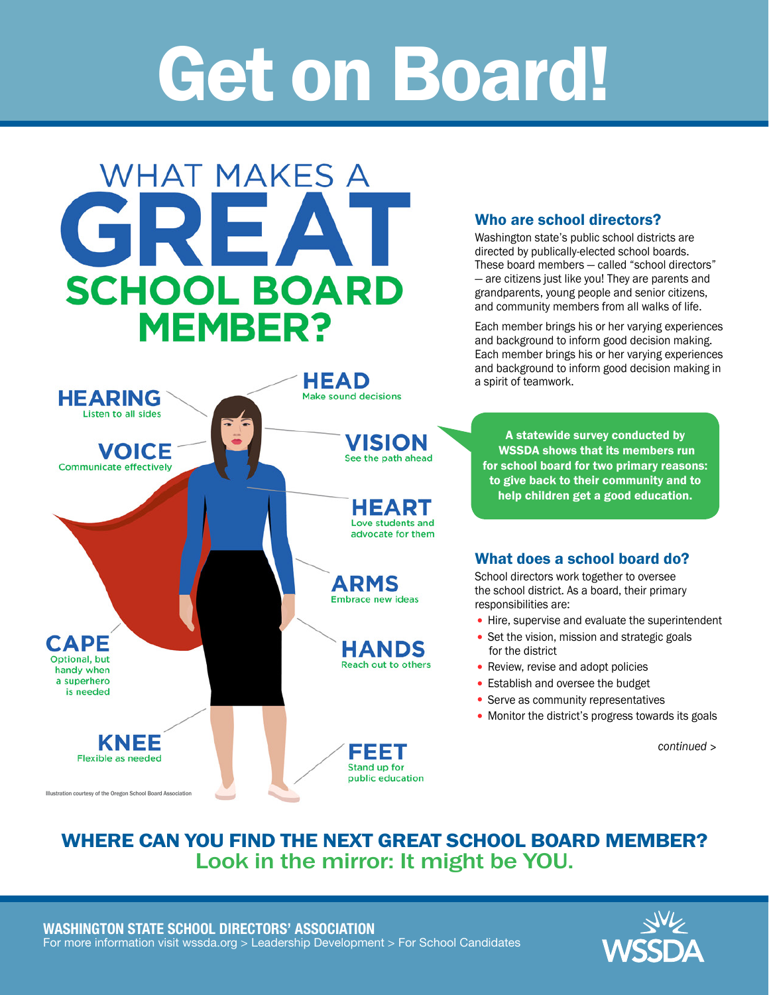# Get on Board!



## WHERE CAN YOU FIND THE NEXT GREAT SCHOOL BOARD MEMBER? Look in the mirror: It might be YOU.

![](_page_0_Picture_4.jpeg)